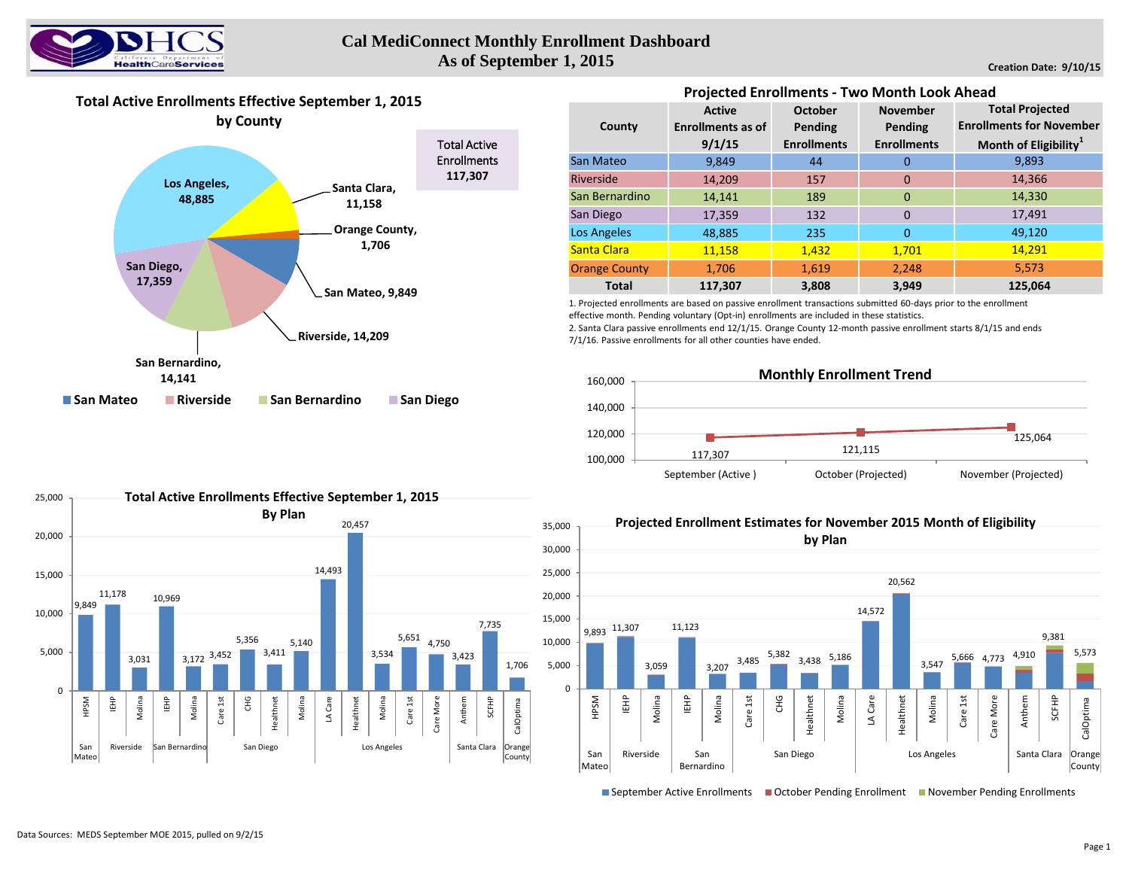

## **Cal MediConnect Monthly Enrollment Dashboard As of September 1, 2015**

**Creation Date: 9/10/15**

## **Total Active Enrollments Effective September 1, 2015**



| <b>Projected Enrollments - Two Month Look Ahead</b> |                          |                    |                    |                                                           |  |  |  |  |  |  |
|-----------------------------------------------------|--------------------------|--------------------|--------------------|-----------------------------------------------------------|--|--|--|--|--|--|
|                                                     | <b>Active</b>            | October            | <b>November</b>    | <b>Total Projected</b><br><b>Enrollments for November</b> |  |  |  |  |  |  |
| County                                              | <b>Enrollments as of</b> | Pending            | Pending            |                                                           |  |  |  |  |  |  |
|                                                     | 9/1/15                   | <b>Enrollments</b> | <b>Enrollments</b> | Month of Eligibility <sup>1</sup>                         |  |  |  |  |  |  |
| <b>San Mateo</b>                                    | 9,849                    | 44                 | 0                  | 9,893                                                     |  |  |  |  |  |  |
| Riverside                                           | 14,209                   | 157                | $\Omega$           | 14,366                                                    |  |  |  |  |  |  |
| San Bernardino                                      | 14,141                   | 189                | $\Omega$           | 14,330                                                    |  |  |  |  |  |  |
| San Diego                                           | 17,359                   | 132                | $\Omega$           | 17,491                                                    |  |  |  |  |  |  |
| Los Angeles                                         | 48,885                   | 235                | $\Omega$           | 49,120                                                    |  |  |  |  |  |  |
| <b>Santa Clara</b>                                  | 11,158                   | 1,432              | 1,701              | 14,291                                                    |  |  |  |  |  |  |
| <b>Orange County</b>                                | 1,706                    | 1,619              | 2,248              | 5,573                                                     |  |  |  |  |  |  |
| <b>Total</b>                                        | 117,307                  | 3,808              | 3,949              | 125,064                                                   |  |  |  |  |  |  |

1. Projected enrollments are based on passive enrollment transactions submitted 60-days prior to the enrollment effective month. Pending voluntary (Opt-in) enrollments are included in these statistics.

2. Santa Clara passive enrollments end 12/1/15. Orange County 12-month passive enrollment starts 8/1/15 and ends 7/1/16. Passive enrollments for all other counties have ended.



**Projected Enrollment Estimates for November 2015 Month of Eligibility**





■ September Active Enrollments ■ October Pending Enrollment ■ November Pending Enrollments